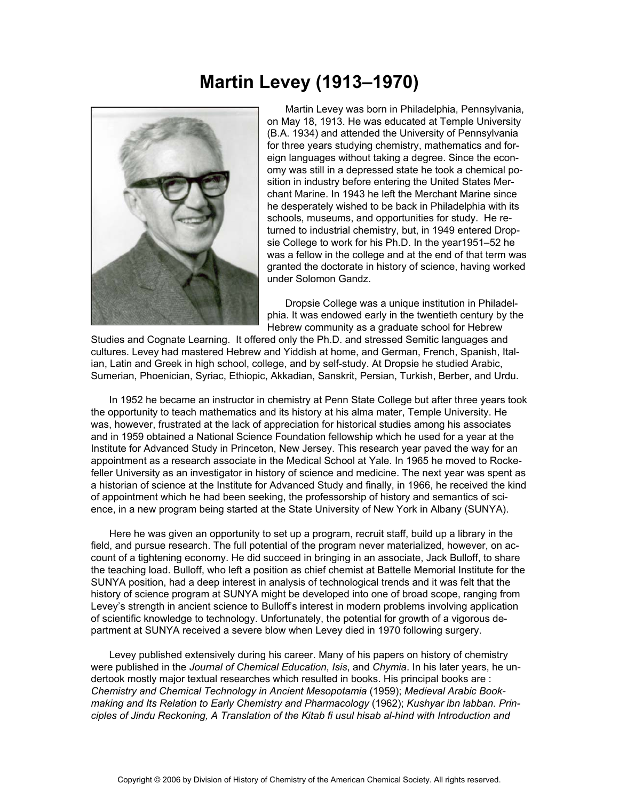## **Martin Levey (1913–1970)**



 Martin Levey was born in Philadelphia, Pennsylvania, on May 18, 1913. He was educated at Temple University (B.A. 1934) and attended the University of Pennsylvania for three years studying chemistry, mathematics and foreign languages without taking a degree. Since the economy was still in a depressed state he took a chemical position in industry before entering the United States Merchant Marine. In 1943 he left the Merchant Marine since he desperately wished to be back in Philadelphia with its schools, museums, and opportunities for study. He returned to industrial chemistry, but, in 1949 entered Dropsie College to work for his Ph.D. In the year1951–52 he was a fellow in the college and at the end of that term was granted the doctorate in history of science, having worked under Solomon Gandz.

 Dropsie College was a unique institution in Philadelphia. It was endowed early in the twentieth century by the Hebrew community as a graduate school for Hebrew

Studies and Cognate Learning. It offered only the Ph.D. and stressed Semitic languages and cultures. Levey had mastered Hebrew and Yiddish at home, and German, French, Spanish, Italian, Latin and Greek in high school, college, and by self-study. At Dropsie he studied Arabic, Sumerian, Phoenician, Syriac, Ethiopic, Akkadian, Sanskrit, Persian, Turkish, Berber, and Urdu.

 In 1952 he became an instructor in chemistry at Penn State College but after three years took the opportunity to teach mathematics and its history at his alma mater, Temple University. He was, however, frustrated at the lack of appreciation for historical studies among his associates and in 1959 obtained a National Science Foundation fellowship which he used for a year at the Institute for Advanced Study in Princeton, New Jersey. This research year paved the way for an appointment as a research associate in the Medical School at Yale. In 1965 he moved to Rockefeller University as an investigator in history of science and medicine. The next year was spent as a historian of science at the Institute for Advanced Study and finally, in 1966, he received the kind of appointment which he had been seeking, the professorship of history and semantics of science, in a new program being started at the State University of New York in Albany (SUNYA).

 Here he was given an opportunity to set up a program, recruit staff, build up a library in the field, and pursue research. The full potential of the program never materialized, however, on account of a tightening economy. He did succeed in bringing in an associate, Jack Bulloff, to share the teaching load. Bulloff, who left a position as chief chemist at Battelle Memorial Institute for the SUNYA position, had a deep interest in analysis of technological trends and it was felt that the history of science program at SUNYA might be developed into one of broad scope, ranging from Levey's strength in ancient science to Bulloff's interest in modern problems involving application of scientific knowledge to technology. Unfortunately, the potential for growth of a vigorous department at SUNYA received a severe blow when Levey died in 1970 following surgery.

 Levey published extensively during his career. Many of his papers on history of chemistry were published in the *Journal of Chemical Education*, *Isis*, and *Chymia*. In his later years, he undertook mostly major textual researches which resulted in books. His principal books are : *Chemistry and Chemical Technology in Ancient Mesopotamia* (1959); *Medieval Arabic Bookmaking and Its Relation to Early Chemistry and Pharmacology* (1962); *Kushyar ibn labban. Principles of Jindu Reckoning, A Translation of the Kitab fi usul hisab al-hind with Introduction and*